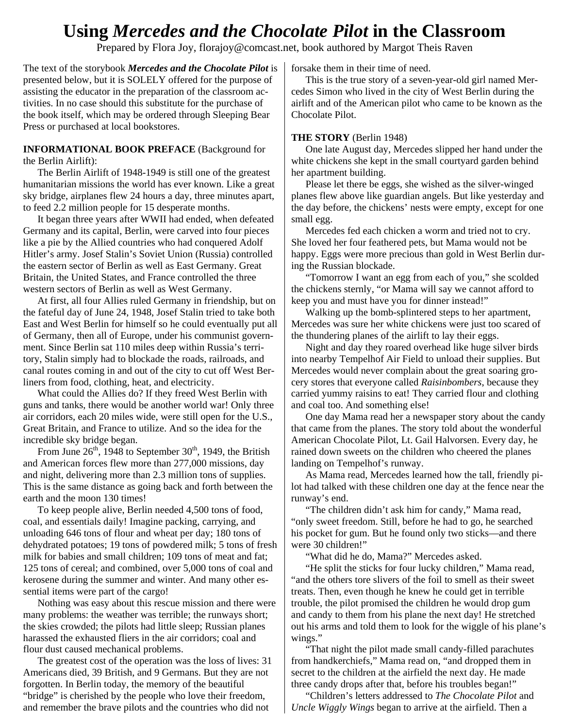# **Using** *Mercedes and the Chocolate Pilot* **in the Classroom**

Prepared by Flora Joy, florajoy@comcast.net, book authored by Margot Theis Raven

The text of the storybook *Mercedes and the Chocolate Pilot* is presented below, but it is SOLELY offered for the purpose of assisting the educator in the preparation of the classroom activities. In no case should this substitute for the purchase of the book itself, which may be ordered through Sleeping Bear Press or purchased at local bookstores.

# **INFORMATIONAL BOOK PREFACE** (Background for the Berlin Airlift):

The Berlin Airlift of 1948-1949 is still one of the greatest humanitarian missions the world has ever known. Like a great sky bridge, airplanes flew 24 hours a day, three minutes apart, to feed 2.2 million people for 15 desperate months.

It began three years after WWII had ended, when defeated Germany and its capital, Berlin, were carved into four pieces like a pie by the Allied countries who had conquered Adolf Hitler's army. Josef Stalin's Soviet Union (Russia) controlled the eastern sector of Berlin as well as East Germany. Great Britain, the United States, and France controlled the three western sectors of Berlin as well as West Germany.

At first, all four Allies ruled Germany in friendship, but on the fateful day of June 24, 1948, Josef Stalin tried to take both East and West Berlin for himself so he could eventually put all of Germany, then all of Europe, under his communist government. Since Berlin sat 110 miles deep within Russia's territory, Stalin simply had to blockade the roads, railroads, and canal routes coming in and out of the city to cut off West Berliners from food, clothing, heat, and electricity.

What could the Allies do? If they freed West Berlin with guns and tanks, there would be another world war! Only three air corridors, each 20 miles wide, were still open for the U.S., Great Britain, and France to utilize. And so the idea for the incredible sky bridge began.

From June  $26<sup>th</sup>$ , 1948 to September  $30<sup>th</sup>$ , 1949, the British and American forces flew more than 277,000 missions, day and night, delivering more than 2.3 million tons of supplies. This is the same distance as going back and forth between the earth and the moon 130 times!

To keep people alive, Berlin needed 4,500 tons of food, coal, and essentials daily! Imagine packing, carrying, and unloading 646 tons of flour and wheat per day; 180 tons of dehydrated potatoes; 19 tons of powdered milk; 5 tons of fresh milk for babies and small children; 109 tons of meat and fat; 125 tons of cereal; and combined, over 5,000 tons of coal and kerosene during the summer and winter. And many other essential items were part of the cargo!

Nothing was easy about this rescue mission and there were many problems: the weather was terrible; the runways short; the skies crowded; the pilots had little sleep; Russian planes harassed the exhausted fliers in the air corridors; coal and flour dust caused mechanical problems.

The greatest cost of the operation was the loss of lives: 31 Americans died, 39 British, and 9 Germans. But they are not forgotten. In Berlin today, the memory of the beautiful "bridge" is cherished by the people who love their freedom, and remember the brave pilots and the countries who did not

forsake them in their time of need.

This is the true story of a seven-year-old girl named Mercedes Simon who lived in the city of West Berlin during the airlift and of the American pilot who came to be known as the Chocolate Pilot.

# **THE STORY** (Berlin 1948)

One late August day, Mercedes slipped her hand under the white chickens she kept in the small courtyard garden behind her apartment building.

Please let there be eggs, she wished as the silver-winged planes flew above like guardian angels. But like yesterday and the day before, the chickens' nests were empty, except for one small egg.

Mercedes fed each chicken a worm and tried not to cry. She loved her four feathered pets, but Mama would not be happy. Eggs were more precious than gold in West Berlin during the Russian blockade.

"Tomorrow I want an egg from each of you," she scolded the chickens sternly, "or Mama will say we cannot afford to keep you and must have you for dinner instead!"

Walking up the bomb-splintered steps to her apartment, Mercedes was sure her white chickens were just too scared of the thundering planes of the airlift to lay their eggs.

Night and day they roared overhead like huge silver birds into nearby Tempelhof Air Field to unload their supplies. But Mercedes would never complain about the great soaring grocery stores that everyone called *Raisinbombers*, because they carried yummy raisins to eat! They carried flour and clothing and coal too. And something else!

One day Mama read her a newspaper story about the candy that came from the planes. The story told about the wonderful American Chocolate Pilot, Lt. Gail Halvorsen. Every day, he rained down sweets on the children who cheered the planes landing on Tempelhof's runway.

As Mama read, Mercedes learned how the tall, friendly pilot had talked with these children one day at the fence near the runway's end.

"The children didn't ask him for candy," Mama read, "only sweet freedom. Still, before he had to go, he searched his pocket for gum. But he found only two sticks—and there were 30 children!"

"What did he do, Mama?" Mercedes asked.

"He split the sticks for four lucky children," Mama read, "and the others tore slivers of the foil to smell as their sweet treats. Then, even though he knew he could get in terrible trouble, the pilot promised the children he would drop gum and candy to them from his plane the next day! He stretched out his arms and told them to look for the wiggle of his plane's wings."

"That night the pilot made small candy-filled parachutes from handkerchiefs," Mama read on, "and dropped them in secret to the children at the airfield the next day. He made three candy drops after that, before his troubles began!"

"Children's letters addressed to *The Chocolate Pilot* and *Uncle Wiggly Wings* began to arrive at the airfield. Then a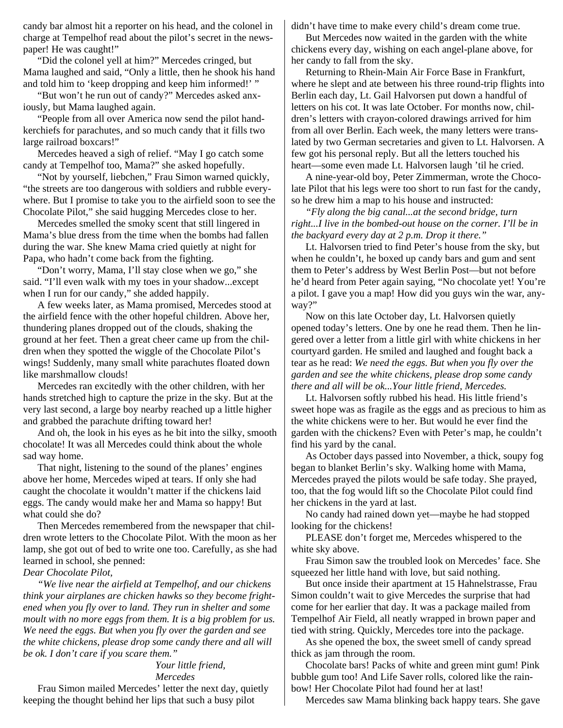candy bar almost hit a reporter on his head, and the colonel in charge at Tempelhof read about the pilot's secret in the newspaper! He was caught!"

"Did the colonel yell at him?" Mercedes cringed, but Mama laughed and said, "Only a little, then he shook his hand and told him to 'keep dropping and keep him informed!' "

"But won't he run out of candy?" Mercedes asked anxiously, but Mama laughed again.

"People from all over America now send the pilot handkerchiefs for parachutes, and so much candy that it fills two large railroad boxcars!"

Mercedes heaved a sigh of relief. "May I go catch some candy at Tempelhof too, Mama?" she asked hopefully.

"Not by yourself, liebchen," Frau Simon warned quickly, "the streets are too dangerous with soldiers and rubble everywhere. But I promise to take you to the airfield soon to see the Chocolate Pilot," she said hugging Mercedes close to her.

Mercedes smelled the smoky scent that still lingered in Mama's blue dress from the time when the bombs had fallen during the war. She knew Mama cried quietly at night for Papa, who hadn't come back from the fighting.

"Don't worry, Mama, I'll stay close when we go," she said. "I'll even walk with my toes in your shadow...except when I run for our candy," she added happily.

A few weeks later, as Mama promised, Mercedes stood at the airfield fence with the other hopeful children. Above her, thundering planes dropped out of the clouds, shaking the ground at her feet. Then a great cheer came up from the children when they spotted the wiggle of the Chocolate Pilot's wings! Suddenly, many small white parachutes floated down like marshmallow clouds!

Mercedes ran excitedly with the other children, with her hands stretched high to capture the prize in the sky. But at the very last second, a large boy nearby reached up a little higher and grabbed the parachute drifting toward her!

And oh, the look in his eyes as he bit into the silky, smooth chocolate! It was all Mercedes could think about the whole sad way home.

That night, listening to the sound of the planes' engines above her home, Mercedes wiped at tears. If only she had caught the chocolate it wouldn't matter if the chickens laid eggs. The candy would make her and Mama so happy! But what could she do?

Then Mercedes remembered from the newspaper that children wrote letters to the Chocolate Pilot. With the moon as her lamp, she got out of bed to write one too. Carefully, as she had learned in school, she penned:

## *Dear Chocolate Pilot,*

*"We live near the airfield at Tempelhof, and our chickens think your airplanes are chicken hawks so they become frightened when you fly over to land. They run in shelter and some moult with no more eggs from them. It is a big problem for us. We need the eggs. But when you fly over the garden and see the white chickens, please drop some candy there and all will be ok. I don't care if you scare them."* 

# *Your little friend, Mercedes*

Frau Simon mailed Mercedes' letter the next day, quietly keeping the thought behind her lips that such a busy pilot

didn't have time to make every child's dream come true.

But Mercedes now waited in the garden with the white chickens every day, wishing on each angel-plane above, for her candy to fall from the sky.

Returning to Rhein-Main Air Force Base in Frankfurt, where he slept and ate between his three round-trip flights into Berlin each day, Lt. Gail Halvorsen put down a handful of letters on his cot. It was late October. For months now, children's letters with crayon-colored drawings arrived for him from all over Berlin. Each week, the many letters were translated by two German secretaries and given to Lt. Halvorsen. A few got his personal reply. But all the letters touched his heart—some even made Lt. Halvorsen laugh 'til he cried.

A nine-year-old boy, Peter Zimmerman, wrote the Chocolate Pilot that his legs were too short to run fast for the candy, so he drew him a map to his house and instructed:

*"Fly along the big canal...at the second bridge, turn right...I live in the bombed-out house on the corner. I'll be in the backyard every day at 2 p.m. Drop it there."* 

Lt. Halvorsen tried to find Peter's house from the sky, but when he couldn't, he boxed up candy bars and gum and sent them to Peter's address by West Berlin Post—but not before he'd heard from Peter again saying, "No chocolate yet! You're a pilot. I gave you a map! How did you guys win the war, anyway?"

Now on this late October day, Lt. Halvorsen quietly opened today's letters. One by one he read them. Then he lingered over a letter from a little girl with white chickens in her courtyard garden. He smiled and laughed and fought back a tear as he read: *We need the eggs. But when you fly over the garden and see the white chickens, please drop some candy there and all will be ok...Your little friend, Mercedes.*

Lt. Halvorsen softly rubbed his head. His little friend's sweet hope was as fragile as the eggs and as precious to him as the white chickens were to her. But would he ever find the garden with the chickens? Even with Peter's map, he couldn't find his yard by the canal.

As October days passed into November, a thick, soupy fog began to blanket Berlin's sky. Walking home with Mama, Mercedes prayed the pilots would be safe today. She prayed, too, that the fog would lift so the Chocolate Pilot could find her chickens in the yard at last.

No candy had rained down yet—maybe he had stopped looking for the chickens!

PLEASE don't forget me, Mercedes whispered to the white sky above.

Frau Simon saw the troubled look on Mercedes' face. She squeezed her little hand with love, but said nothing.

But once inside their apartment at 15 Hahnelstrasse, Frau Simon couldn't wait to give Mercedes the surprise that had come for her earlier that day. It was a package mailed from Tempelhof Air Field, all neatly wrapped in brown paper and tied with string. Quickly, Mercedes tore into the package.

As she opened the box, the sweet smell of candy spread thick as jam through the room.

Chocolate bars! Packs of white and green mint gum! Pink bubble gum too! And Life Saver rolls, colored like the rainbow! Her Chocolate Pilot had found her at last!

Mercedes saw Mama blinking back happy tears. She gave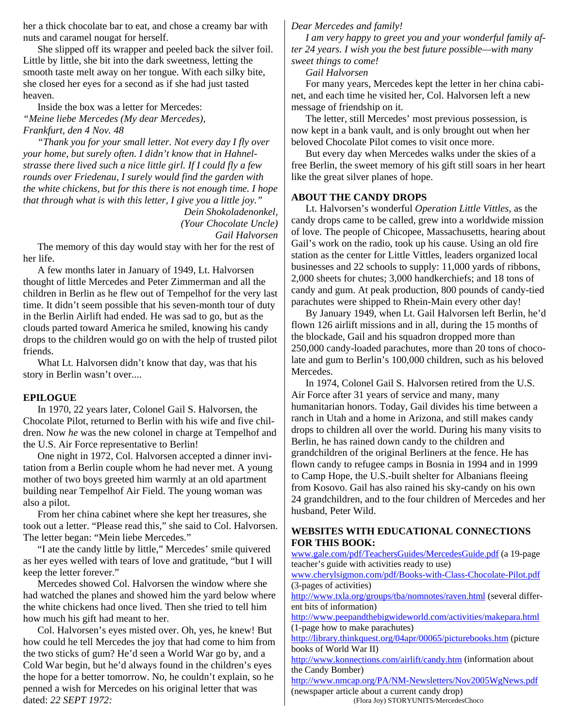her a thick chocolate bar to eat, and chose a creamy bar with nuts and caramel nougat for herself.

She slipped off its wrapper and peeled back the silver foil. Little by little, she bit into the dark sweetness, letting the smooth taste melt away on her tongue. With each silky bite, she closed her eyes for a second as if she had just tasted heaven.

Inside the box was a letter for Mercedes: *"Meine liebe Mercedes (My dear Mercedes), Frankfurt, den 4 Nov. 48* 

*"Thank you for your small letter. Not every day I fly over your home, but surely often. I didn't know that in Hahnelstrasse there lived such a nice little girl. If I could fly a few rounds over Friedenau, I surely would find the garden with the white chickens, but for this there is not enough time. I hope that through what is with this letter, I give you a little joy."* 

> *Dein Shokoladenonkel, (Your Chocolate Uncle) Gail Halvorsen*

The memory of this day would stay with her for the rest of her life.

A few months later in January of 1949, Lt. Halvorsen thought of little Mercedes and Peter Zimmerman and all the children in Berlin as he flew out of Tempelhof for the very last time. It didn't seem possible that his seven-month tour of duty in the Berlin Airlift had ended. He was sad to go, but as the clouds parted toward America he smiled, knowing his candy drops to the children would go on with the help of trusted pilot friends.

What Lt. Halvorsen didn't know that day, was that his story in Berlin wasn't over....

#### **EPILOGUE**

In 1970, 22 years later, Colonel Gail S. Halvorsen, the Chocolate Pilot, returned to Berlin with his wife and five children. Now *he* was the new colonel in charge at Tempelhof and the U.S. Air Force representative to Berlin!

One night in 1972, Col. Halvorsen accepted a dinner invitation from a Berlin couple whom he had never met. A young mother of two boys greeted him warmly at an old apartment building near Tempelhof Air Field. The young woman was also a pilot.

From her china cabinet where she kept her treasures, she took out a letter. "Please read this," she said to Col. Halvorsen. The letter began: "Mein liebe Mercedes."

"I ate the candy little by little," Mercedes' smile quivered as her eyes welled with tears of love and gratitude, "but I will keep the letter forever."

Mercedes showed Col. Halvorsen the window where she had watched the planes and showed him the yard below where the white chickens had once lived. Then she tried to tell him how much his gift had meant to her.

Col. Halvorsen's eyes misted over. Oh, yes, he knew! But how could he tell Mercedes the joy that had come to him from the two sticks of gum? He'd seen a World War go by, and a Cold War begin, but he'd always found in the children's eyes the hope for a better tomorrow. No, he couldn't explain, so he penned a wish for Mercedes on his original letter that was dated: *22 SEPT 1972:* 

#### *Dear Mercedes and family!*

*I am very happy to greet you and your wonderful family after 24 years. I wish you the best future possible—with many sweet things to come!* 

#### *Gail Halvorsen*

For many years, Mercedes kept the letter in her china cabinet, and each time he visited her, Col. Halvorsen left a new message of friendship on it.

The letter, still Mercedes' most previous possession, is now kept in a bank vault, and is only brought out when her beloved Chocolate Pilot comes to visit once more.

But every day when Mercedes walks under the skies of a free Berlin, the sweet memory of his gift still soars in her heart like the great silver planes of hope.

#### **ABOUT THE CANDY DROPS**

Lt. Halvorsen's wonderful *Operation Little Vittles*, as the candy drops came to be called, grew into a worldwide mission of love. The people of Chicopee, Massachusetts, hearing about Gail's work on the radio, took up his cause. Using an old fire station as the center for Little Vittles, leaders organized local businesses and 22 schools to supply: 11,000 yards of ribbons, 2,000 sheets for chutes; 3,000 handkerchiefs; and 18 tons of candy and gum. At peak production, 800 pounds of candy-tied parachutes were shipped to Rhein-Main every other day!

By January 1949, when Lt. Gail Halvorsen left Berlin, he'd flown 126 airlift missions and in all, during the 15 months of the blockade, Gail and his squadron dropped more than 250,000 candy-loaded parachutes, more than 20 tons of chocolate and gum to Berlin's 100,000 children, such as his beloved Mercedes.

In 1974, Colonel Gail S. Halvorsen retired from the U.S. Air Force after 31 years of service and many, many humanitarian honors. Today, Gail divides his time between a ranch in Utah and a home in Arizona, and still makes candy drops to children all over the world. During his many visits to Berlin, he has rained down candy to the children and grandchildren of the original Berliners at the fence. He has flown candy to refugee camps in Bosnia in 1994 and in 1999 to Camp Hope, the U.S.-built shelter for Albanians fleeing from Kosovo. Gail has also rained his sky-candy on his own 24 grandchildren, and to the four children of Mercedes and her husband, Peter Wild.

# **WEBSITES WITH EDUCATIONAL CONNECTIONS FOR THIS BOOK:**

www.gale.com/pdf/TeachersGuides/MercedesGuide.pdf (a 19-page teacher's guide with activities ready to use)

www.cherylsigmon.com/pdf/Books-with-Class-Chocolate-Pilot.pdf (3-pages of activities)

http://www.txla.org/groups/tba/nomnotes/raven.html (several different bits of information)

http://www.peepandthebigwideworld.com/activities/makepara.html (1-page how to make parachutes)

http://library.thinkquest.org/04apr/00065/picturebooks.htm (picture books of World War II)

http://www.konnections.com/airlift/candy.htm (information about the Candy Bomber)

http://www.nmcap.org/PA/NM-Newsletters/Nov2005WgNews.pdf (newspaper article about a current candy drop)

(Flora Joy) STORYUNITS/MercedesChoco